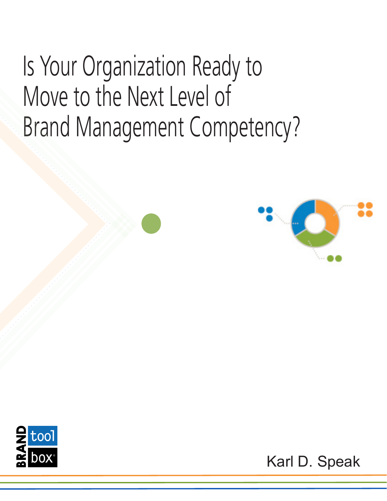Is Your Organization Ready to Move to the Next Level of Brand Management Competency?





Karl D. Speak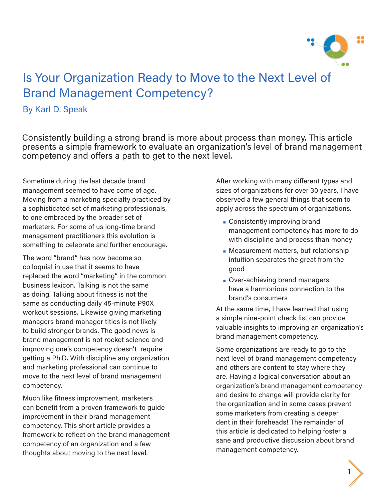

### Is Your Organization Ready to Move to the Next Level of Brand Management Competency?

#### By Karl D. Speak

Consistently building a strong brand is more about process than money. This article presents a simple framework to evaluate an organization's level of brand management competency and offers a path to get to the next level.

Sometime during the last decade brand management seemed to have come of age. Moving from a marketing specialty practiced by a sophisticated set of marketing professionals, to one embraced by the broader set of marketers. For some of us long-time brand management practitioners this evolution is something to celebrate and further encourage.

The word "brand" has now become so colloquial in use that it seems to have replaced the word "marketing" in the common business lexicon. Talking is not the same as doing. Talking about fitness is not the same as conducting daily 45-minute P90X workout sessions. Likewise giving marketing managers brand manager titles is not likely to build stronger brands. The good news is brand management is not rocket science and improving one's competency doesn't require getting a Ph.D. With discipline any organization and marketing professional can continue to move to the next level of brand management competency.

Much like fitness improvement, marketers can benefit from a proven framework to guide improvement in their brand management competency. This short article provides a framework to reflect on the brand management competency of an organization and a few thoughts about moving to the next level.

After working with many different types and sizes of organizations for over 30 years, I have observed a few general things that seem to apply across the spectrum of organizations.

- **Consistently improving brand** management competency has more to do with discipline and process than money
- **Measurement matters, but relationship** intuition separates the great from the good
- **Over-achieving brand managers** have a harmonious connection to the brand's consumers

At the same time, I have learned that using a simple nine-point check list can provide valuable insights to improving an organization's brand management competency.

Some organizations are ready to go to the next level of brand management competency and others are content to stay where they are. Having a logical conversation about an organization's brand management competency and desire to change will provide clarity for the organization and in some cases prevent some marketers from creating a deeper dent in their foreheads! The remainder of this article is dedicated to helping foster a sane and productive discussion about brand management competency.

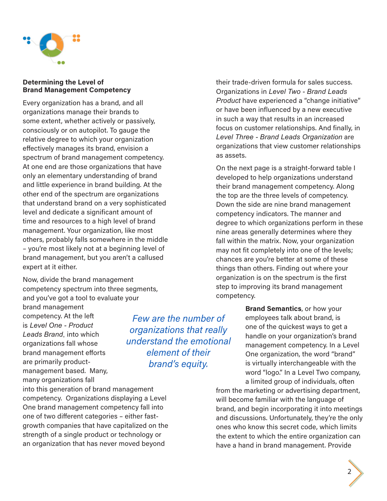

#### **Determining the Level of Brand Management Competency**

Every organization has a brand, and all organizations manage their brands to some extent, whether actively or passively, consciously or on autopilot. To gauge the relative degree to which your organization effectively manages its brand, envision a spectrum of brand management competency. At one end are those organizations that have only an elementary understanding of brand and little experience in brand building. At the other end of the spectrum are organizations that understand brand on a very sophisticated level and dedicate a significant amount of time and resources to a high level of brand management. Your organization, like most others, probably falls somewhere in the middle – you're most likely not at a beginning level of brand management, but you aren't a callused expert at it either.

Now, divide the brand management competency spectrum into three segments, and you've got a tool to evaluate your

brand management competency. At the left is *Level One - Product Leads Brand*, into which organizations fall whose brand management efforts are primarily productmanagement based. Many, many organizations fall

into this generation of brand management competency. Organizations displaying a Level One brand management competency fall into one of two different categories – either fastgrowth companies that have capitalized on the strength of a single product or technology or an organization that has never moved beyond

their trade-driven formula for sales success. Organizations in *Level Two - Brand Leads Product* have experienced a "change initiative" or have been influenced by a new executive in such a way that results in an increased focus on customer relationships. And finally, in *Level Three - Brand Leads Organization* are organizations that view customer relationships as assets.

On the next page is a straight-forward table I developed to help organizations understand their brand management competency. Along the top are the three levels of competency. Down the side are nine brand management competency indicators. The manner and degree to which organizations perform in these nine areas generally determines where they fall within the matrix. Now, your organization may not fit completely into one of the levels; chances are you're better at some of these things than others. Finding out where your organization is on the spectrum is the first step to improving its brand management competency.

> **Brand Semantics**, or how your employees talk about brand, is one of the quickest ways to get a handle on your organization's brand management competency. In a Level One organization, the word "brand" is virtually interchangeable with the word "logo." In a Level Two company, a limited group of individuals, often

from the marketing or advertising department, will become familiar with the language of brand, and begin incorporating it into meetings and discussions. Unfortunately, they're the only ones who know this secret code, which limits the extent to which the entire organization can have a hand in brand management. Provide



*Few are the number of organizations that really understand the emotional element of their brand's equity.*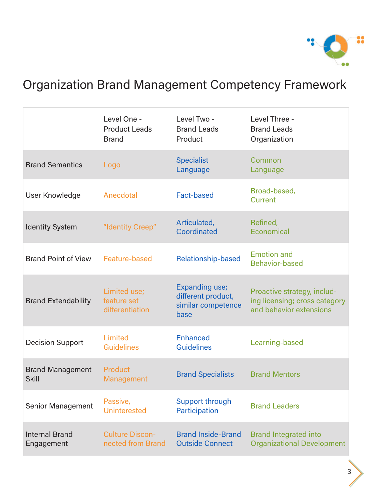

### Organization Brand Management Competency Framework

|                                         | Level One -<br><b>Product Leads</b><br><b>Brand</b> | Level Two -<br><b>Brand Leads</b><br>Product                              | Level Three -<br><b>Brand Leads</b><br>Organization                                     |
|-----------------------------------------|-----------------------------------------------------|---------------------------------------------------------------------------|-----------------------------------------------------------------------------------------|
| <b>Brand Semantics</b>                  | Logo                                                | <b>Specialist</b><br>Language                                             | Common<br>Language                                                                      |
| User Knowledge                          | Anecdotal                                           | <b>Fact-based</b>                                                         | Broad-based,<br><b>Current</b>                                                          |
| <b>Identity System</b>                  | "Identity Creep"                                    | Articulated,<br>Coordinated                                               | Refined,<br>Economical                                                                  |
| <b>Brand Point of View</b>              | Feature-based                                       | <b>Relationship-based</b>                                                 | <b>Emotion and</b><br><b>Behavior-based</b>                                             |
| <b>Brand Extendability</b>              | Limited use;<br>feature set<br>differentiation      | <b>Expanding use;</b><br>different product,<br>similar competence<br>base | Proactive strategy, includ-<br>ing licensing; cross category<br>and behavior extensions |
| <b>Decision Support</b>                 | Limited<br><b>Guidelines</b>                        | <b>Enhanced</b><br><b>Guidelines</b>                                      | Learning-based                                                                          |
| <b>Brand Management</b><br><b>Skill</b> | Product<br>Management                               | <b>Brand Specialists</b>                                                  | <b>Brand Mentors</b>                                                                    |
| <b>Senior Management</b>                | Passive,<br><b>Uninterested</b>                     | Support through<br>Participation                                          | <b>Brand Leaders</b>                                                                    |
| <b>Internal Brand</b><br>Engagement     | <b>Culture Discon-</b><br>nected from Brand         | <b>Brand Inside-Brand</b><br><b>Outside Connect</b>                       | <b>Brand Integrated into</b><br><b>Organizational Development</b>                       |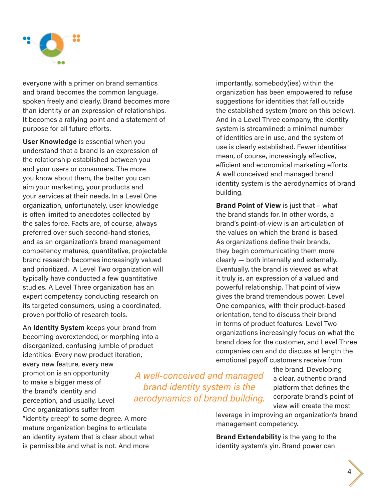

everyone with a primer on brand semantics and brand becomes the common language, spoken freely and clearly. Brand becomes more than identity or an expression of relationships. It becomes a rallying point and a statement of purpose for all future efforts.

**User Knowledge** is essential when you understand that a brand is an expression of the relationship established between you and your users or consumers. The more you know about them, the better you can aim your marketing, your products and your services at their needs. In a Level One organization, unfortunately, user knowledge is often limited to anecdotes collected by the sales force. Facts are, of course, always preferred over such second-hand stories, and as an organization's brand management competency matures, quantitative, projectable brand research becomes increasingly valued and prioritized. A Level Two organization will typically have conducted a few quantitative studies. A Level Three organization has an expert competency conducting research on its targeted consumers, using a coordinated, proven portfolio of research tools.

An **Identity System** keeps your brand from becoming overextended, or morphing into a disorganized, confusing jumble of product identities. Every new product iteration, every new feature, every new promotion is an opportunity to make a bigger mess of the brand's identity and perception, and usually, Level One organizations suffer from "identity creep" to some degree. A more mature organization begins to articulate

an identity system that is clear about what is permissible and what is not. And more

importantly, somebody(ies) within the organization has been empowered to refuse suggestions for identities that fall outside the established system (more on this below). And in a Level Three company, the identity system is streamlined: a minimal number of identities are in use, and the system of use is clearly established. Fewer identities mean, of course, increasingly effective, efficient and economical marketing efforts. A well conceived and managed brand identity system is the aerodynamics of brand building.

**Brand Point of View** is just that – what the brand stands for. In other words, a brand's point-of-view is an articulation of the values on which the brand is based. As organizations define their brands, they begin communicating them more clearly — both internally and externally. Eventually, the brand is viewed as what it truly is, an expression of a valued and powerful relationship. That point of view gives the brand tremendous power. Level One companies, with their product-based orientation, tend to discuss their brand in terms of product features. Level Two organizations increasingly focus on what the brand does for the customer, and Level Three companies can and do discuss at length the emotional payoff customers receive from

*A well-conceived and managed brand identity system is the aerodynamics of brand building.* the brand. Developing a clear, authentic brand platform that defines the corporate brand's point of view will create the most

leverage in improving an organization's brand management competency.

**Brand Extendability** is the yang to the identity system's yin. Brand power can

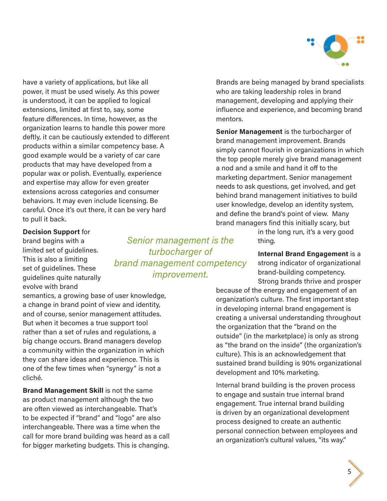

have a variety of applications, but like all power, it must be used wisely. As this power is understood, it can be applied to logical extensions, limited at first to, say, some feature differences. In time, however, as the organization learns to handle this power more deftly, it can be cautiously extended to different products within a similar competency base. A good example would be a variety of car care products that may have developed from a popular wax or polish. Eventually, experience and expertise may allow for even greater extensions across categories and consumer behaviors. It may even include licensing. Be careful. Once it's out there, it can be very hard to pull it back.

**Decision Support** for brand begins with a limited set of guidelines. This is also a limiting set of guidelines. These guidelines quite naturally evolve with brand

*Senior management is the turbocharger of brand management competency improvement.*

semantics, a growing base of user knowledge, a change in brand point of view and identity, and of course, senior management attitudes. But when it becomes a true support tool rather than a set of rules and regulations, a big change occurs. Brand managers develop a community within the organization in which they can share ideas and experience. This is one of the few times when "synergy" is not a cliché.

**Brand Management Skill** is not the same as product management although the two are often viewed as interchangeable. That's to be expected if "brand" and "logo" are also interchangeable. There was a time when the call for more brand building was heard as a call for bigger marketing budgets. This is changing.

Brands are being managed by brand specialists who are taking leadership roles in brand management, developing and applying their influence and experience, and becoming brand mentors.

**Senior Management** is the turbocharger of brand management improvement. Brands simply cannot flourish in organizations in which the top people merely give brand management a nod and a smile and hand it off to the marketing department. Senior management needs to ask questions, get involved, and get behind brand management initiatives to build user knowledge, develop an identity system, and define the brand's point of view. Many brand managers find this initially scary, but

> in the long run, it's a very good thing.

**Internal Brand Engagement** is a strong indicator of organizational brand-building competency. Strong brands thrive and prosper

because of the energy and engagement of an organization's culture. The first important step in developing internal brand engagement is creating a universal understanding throughout the organization that the "brand on the outside" (in the marketplace) is only as strong as "the brand on the inside" (the organization's culture). This is an acknowledgement that sustained brand building is 90% organizational development and 10% marketing.

Internal brand building is the proven process to engage and sustain true internal brand engagement. True internal brand building is driven by an organizational development process designed to create an authentic personal connection between employees and an organization's cultural values, "its way."

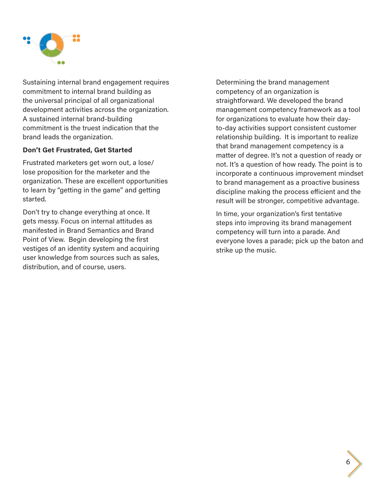

Sustaining internal brand engagement requires commitment to internal brand building as the universal principal of all organizational development activities across the organization. A sustained internal brand-building commitment is the truest indication that the brand leads the organization.

#### **Don't Get Frustrated, Get Started**

Frustrated marketers get worn out, a lose/ lose proposition for the marketer and the organization. These are excellent opportunities to learn by "getting in the game" and getting started.

Don't try to change everything at once. It gets messy. Focus on internal attitudes as manifested in Brand Semantics and Brand Point of View. Begin developing the first vestiges of an identity system and acquiring user knowledge from sources such as sales, distribution, and of course, users.

Determining the brand management competency of an organization is straightforward. We developed the brand management competency framework as a tool for organizations to evaluate how their dayto-day activities support consistent customer relationship building. It is important to realize that brand management competency is a matter of degree. It's not a question of ready or not. It's a question of how ready. The point is to incorporate a continuous improvement mindset to brand management as a proactive business discipline making the process efficient and the result will be stronger, competitive advantage.

In time, your organization's first tentative steps into improving its brand management competency will turn into a parade. And everyone loves a parade; pick up the baton and strike up the music.

6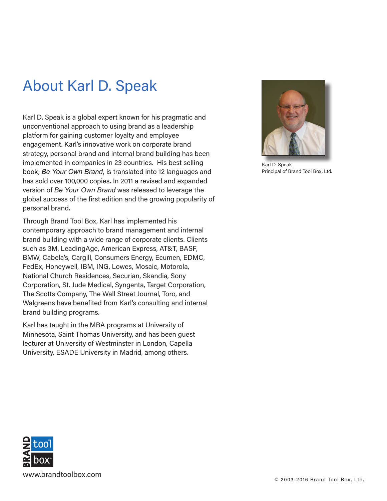# About Karl D. Speak

Karl D. Speak is a global expert known for his pragmatic and unconventional approach to using brand as a leadership platform for gaining customer loyalty and employee engagement. Karl's innovative work on corporate brand strategy, personal brand and internal brand building has been implemented in companies in 23 countries. His best selling book, *Be Your Own Brand,* is translated into 12 languages and has sold over 100,000 copies. In 2011 a revised and expanded version of *Be Your Own Brand* was released to leverage the global success of the first edition and the growing popularity of personal brand.

Through Brand Tool Box, Karl has implemented his contemporary approach to brand management and internal brand building with a wide range of corporate clients. Clients such as 3M, LeadingAge, American Express, AT&T, BASF, BMW, Cabela's, Cargill, Consumers Energy, Ecumen, EDMC, FedEx, Honeywell, IBM, ING, Lowes, Mosaic, Motorola, National Church Residences, Securian, Skandia, Sony Corporation, St. Jude Medical, Syngenta, Target Corporation, The Scotts Company, The Wall Street Journal, Toro, and Walgreens have benefited from Karl's consulting and internal brand building programs.

Karl has taught in the MBA programs at University of Minnesota, Saint Thomas University, and has been guest lecturer at University of Westminster in London, Capella University, ESADE University in Madrid, among others.



Karl D. Speak Principal of Brand Tool Box, Ltd.